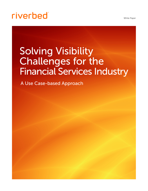White Paper

# **riverbed**

# Solving Visibility Challenges for the Financial Services Industry

A Use Case-based Approach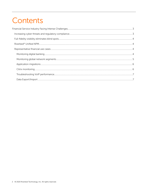## Contents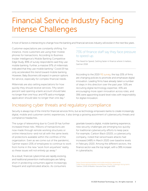## <span id="page-2-0"></span>Financial Service Industry Facing Intense Challenges

A host of factors is intersecting to change how the banking and financial services industry will evolve in the next few years.

Customer expectations are constantly shifting. For instance, more customers are using their mobile phones for transactions. According to Business Insider Intelligence's Mobile Banking Competitive Edge Study, 89% of survey respondents said they use mobile banking. Further, a massive 97% of millennials indicated that they use mobile banking.<sup>1</sup> Covid-19 has only accelerated this trend toward mobile banking. However, Baby Boomers still expect in-person options for service, especially for complex financial needs.

Millennials are also setting expectations for how quickly they should receive services. Fifty-seven percent said opening a bank account should take no longer than one hour, and 47% said a mortgage application should take no longer than one day.<sup>2</sup>

#### 73% of finance staff say they face pressure to speed up.

The Need for Speed; Getting faster in finance where it matters, Gartner 2018

According to the 2019 [FIS survey](https://www.fisglobal.com/fis-readiness-report), the top 20% of firms are changing policies to promote and emphasize digital innovation. Leading firms have already taken a number of steps in this direction over the past year: 50% are recruiting digital technology expertise; 43% are encouraging more open innovation across roles; and 39% were appointing board-level roles with responsibility for digital innovation.

## Increasing cyber threats and regulatory compliance

Security is always top of the mind for financial services firms, but as technology empowers banks to create increasingly digital, mobile and customer-centric experiences, it also brings a growing assortment of cybersecurity threats and compliance headaches.

The surge of teleworking due to Covid-19 has further increased these risks. Millions of transactions are now made through remote working structures or online interactions—and not all with the same levels of protections available within the confines of the organization. Even as we come out of the pandemic, Gartner expect 20% of employees to continue to work from home in the new "work from anywhere" reality, so these issues will not entirely go away.<sup>3</sup>

As a result, financial cybercrimes are rapidly evolving, and traditional prevention methodologies are falling short in protecting consumers against increasingly frequent and sophisticated attacks. As consumers

gravitate toward a digital, mobile banking experience, new security challenges are emerging too quickly for traditional cybersecurity efforts to keep pace. For example, Carbon Black (2020), a cybersecurity company, noted that ransomware attacks had increased 148% in March 2020 over baseline levels in February 2020. Among the different sectors, the finance sector was the top target, with a 38% increase in cyberattacks.

1 <https://www.businessinsider.com/mobile-banking-market-trends> 2 <https://www.americanbanker.com/slideshow/9-tech-challenges-facing-banks> 3 Gartner, COVID-19 Bulletin: Executive Pulse, 3 April 2020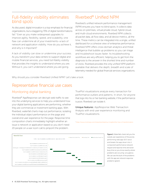## <span id="page-3-0"></span>Full-fidelity visibility eliminates blind spots

As discussed, digital innovation is a top emphasis for financial organizations, but a staggering 70% of digital transformations fail.4 Even as you make widespread upgrades to improve agility, flexibility, speed, and scalability, one flaw can undermine all of your investments—a lack of network and application visibility. How do you achieve it, and why is it important?

A lack of visibility can slow or undermine your success. As you transform your data centers to support digital and mobile financial services, you need full-fidelity visibility that provides the insights to understand where you are. Without it, you can't understand where you are going.

## Riverbed® Unified NPM

Riverbed's unified network performance management (NPM) ensures you have no blind spots. It collects data across on-premises, virtual private cloud, hybrid cloud, and multi-cloud environments. Riverbed NPM collects all packet data, all flow data, and all device metrics, all the time. These metrics can be integrated into a single, unified dashboard for a cohesive view of enterprise performance. Riverbed NPM offers cross-domain analytics and threat intelligence that bubble up problems so you can triage and troubleshoot issues faster. Its troubleshooting workflows are very efficient, helping you to get from the diagnosis to the answer in the shortest time and number of clicks. Riverbed provides the only unified NPM platform available that delivers the depth, breadth and scale of telemetry needed for global financial services organizations.

Why should you consider Riverbed Unified NPM? Let's take a look:

## Representative financial use cases

#### Monitoring digital banking

Riverbed® AppResponse can decrypt web traffic to see into the underlying services to help you understand how your digital banking applications are performing, whether they are commercial or investment banking apps. With Riverbed, waterfall charts map out performance, isolating the individual object performance on the page and overall end user experience for the page. Response time composition charts immediately highlight whether an issue is network or application based so you don't need 20 people on a war room call to pinpoint the problem.

TruePlot visualizations analyze every transaction for performance outliers and patterns. In short, for anyone that logs into his or her banking website, if the performance is poor, Riverbed can isolate it.

Unique features: AppResponse Web Transaction Analysis with end user experience monitoring and TruePlot visualizations.

4 [https://www.mckinsey.com/industries/retail/our-insights/the-how-of-transformation](https://www.mckinsey.com/industries/retail/our-insights/the-how-of-transformation )



Figure 1: Waterfalls charts tell you the overall user experience of this poorly performing web app (10.5 secs) and breaks the app down into it component performance network request and reponse time and sever busy time so you know exactly where problems are occuring—at a glance. We can see the bulk of the problems with this app are network response problems (green).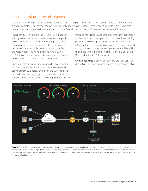#### <span id="page-4-0"></span>Monitoring global network segments

Large financial organizations have networks that are truly global in nature. They span multiple data centers and are very complex. The internet segment, commonly known as the DMZ, typically spans multiple regions and data centers and hosts multiple load balancers, multiple firewalls, etc. It is very difficult to troubleshoot efficiently.

Riverbed® NPM monitors the DMZ by using packet visibility in the data centers that have Internet entry/exit points. By leveraging virtual interface groups (VIFG) using AppResponse, it enables IT to understand performance at multiple points along a path. For example, when you have different Virtual LANs (vLANs), you can see what is happening with traffic before and after a firewall and load balancer.

Riverbed helps financial organizations troubleshoot the DMZ and other critical points at scale and with detail. It captures from all different points (on the WAN side and LAN side) and then aggregates the data from multiple solutions into a single, global view using Riverbed® Portal.

Portal consolidates all AppResponse intelligent application analysis and metrics so you are not always downloading packets. It also brings together data from our flow and infrastructure monitoring solutions so you have a unified and global view of your network performance. This ability to see the whole picture, in detail, is the power of the Riverbed unified NPM platform.

Unique features: AppResponse VIFG groups, SSL/TLS decryption, intelligent application analysis, Portal aggregation.



Figure 2: Riverbed Portal brings together flow, packet and infrastructure monitoring in one dashboard. In this example, we are monitoring status of the infrastructure devices with SNMP and everything is green. Flow monitoring (red) provides visibility into top talkers and DSCP. If we look at the top of the dashboard, we see that it's probably high throughput. Finally, the packet analysis (yellow) is happening on the segments between each device. In this case, we see issues on the WAN side of the firewall and load balancer.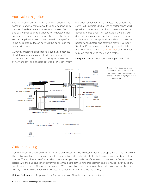#### <span id="page-5-0"></span>Application migrations

Any financial organization that is thinking about cloud computing and wants to move their applications from their existing data center to the cloud, or even from one data center to another, needs to understand their application dependencies before the move. I.e., how are their applications set up, and how do they perform in the current form factor, how will the perform in the new environment.

Currently, migrating applications is typically a manual effort. It is also a herculean effort because of all the data that needs to be analyzed. Using a combination of network flow and packets, Riverbed NPM can inform you about dependencies, chattiness, and performance so you will understand what kind of performance you'll get when you move to the cloud or even another data center. Riverbed's REST API can extract the data; our dependency mapping capabilities can map out your applications; and our application analysis can baseline performance before and after the move. Riverbed® SteelHead™ can be used to efficiently move the data to the cloud. Read how [Mondadori France](https://www.riverbed.com/customer-stories/mondadori.html?utm_source=blog&utm_medium=social) uses Riverbed to make migration to the cloud a reality.

Unique features: Dependency mapping, REST API.



Figure 3: Build dependency maps in real time. Discover all tiers of a multi-tier app, their interdependencies, and respective throughput (darker lines indict heavier load).

### Citrix monitoring

Many financial institutions use Citrix Virtual App and Virtual Desktop to securely deliver their apps and data to any device. The problem is that network teams find troubleshooting extremely difficult; it's like looking into a black box—totally opaque. The AppResponse Citrix Analysis module lets you see inside the ICA stream to correlate the frontend user session with the backend server performance to troubleshoot the entire process from end to end. It allows you to drill into the performance of the network, database, Web applications or other Citrix application tiers or monitor client-side latency, application execution time, host resource allocation, and infrastructure latency.

Unique features: AppResponse Citrix Analysis module, Aternity™ end user experience.